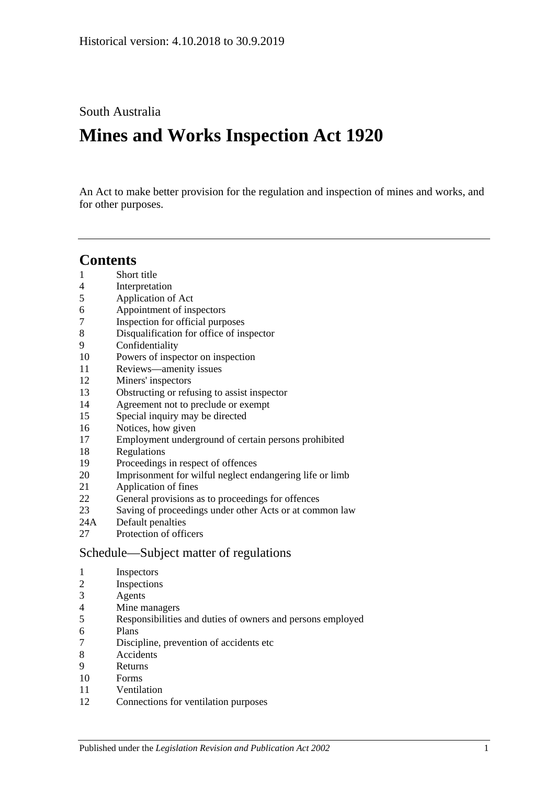South Australia

# **Mines and Works Inspection Act 1920**

An Act to make better provision for the regulation and inspection of mines and works, and for other purposes.

# **Contents**

- [Short title](#page-1-0)
- [Interpretation](#page-1-1)
- [Application of Act](#page-3-0)
- [Appointment of inspectors](#page-3-1)
- [Inspection for official purposes](#page-3-2)
- [Disqualification for office of inspector](#page-3-3)
- [Confidentiality](#page-4-0)
- [Powers of inspector on inspection](#page-4-1)
- [Reviews—amenity issues](#page-6-0)
- [Miners' inspectors](#page-6-1)
- [Obstructing or refusing to assist inspector](#page-7-0)
- [Agreement not to preclude or exempt](#page-7-1)
- [Special inquiry may be directed](#page-7-2)
- [Notices, how given](#page-7-3)
- [Employment underground of certain persons prohibited](#page-7-4)
- [Regulations](#page-8-0)
- [Proceedings in respect of offences](#page-8-1)
- [Imprisonment for wilful neglect endangering life or limb](#page-8-2)
- [Application of fines](#page-9-0)
- [General provisions as to proceedings for offences](#page-9-1)
- [Saving of proceedings under other Acts or at common law](#page-9-2)
- 24A [Default penalties](#page-10-0)
- [Protection of officers](#page-10-1)

## [Schedule—Subject matter of regulations](#page-10-2)

- [Inspectors](#page-10-3)
- [Inspections](#page-10-4)
- [Agents](#page-10-5)
- [Mine managers](#page-10-6)
- [Responsibilities and duties of owners and persons employed](#page-10-7)
- [Plans](#page-11-0)
- [Discipline, prevention of accidents etc](#page-11-1)
- [Accidents](#page-11-2)
- [Returns](#page-11-3)
- [Forms](#page-11-4)
- [Ventilation](#page-11-5)
- [Connections for ventilation purposes](#page-12-0)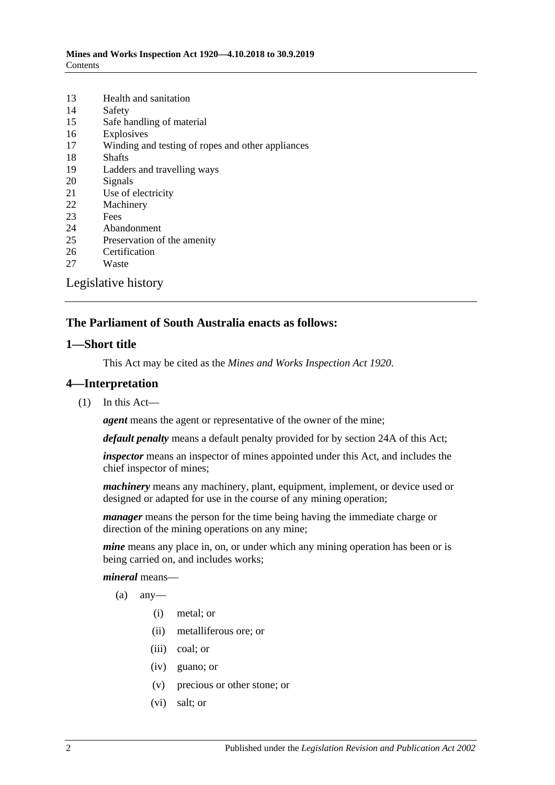| 13                  | Health and sanitation                             |  |
|---------------------|---------------------------------------------------|--|
| 14                  | Safety                                            |  |
| 15                  | Safe handling of material                         |  |
| 16                  | Explosives                                        |  |
| 17                  | Winding and testing of ropes and other appliances |  |
| 18                  | <b>Shafts</b>                                     |  |
| 19                  | Ladders and travelling ways                       |  |
| 20                  | Signals                                           |  |
| 21                  | Use of electricity                                |  |
| 22                  | Machinery                                         |  |
| 23                  | Fees                                              |  |
| 24                  | Abandonment                                       |  |
| 25                  | Preservation of the amenity                       |  |
| 26                  | Certification                                     |  |
| 27                  | Waste                                             |  |
| Legislative history |                                                   |  |

### **The Parliament of South Australia enacts as follows:**

#### <span id="page-1-0"></span>**1—Short title**

This Act may be cited as the *Mines and Works Inspection Act 1920*.

#### <span id="page-1-1"></span>**4—Interpretation**

(1) In this Act—

*agent* means the agent or representative of the owner of the mine;

*default penalty* means a default penalty provided for by [section](#page-10-0) 24A of this Act;

*inspector* means an inspector of mines appointed under this Act, and includes the chief inspector of mines;

*machinery* means any machinery, plant, equipment, implement, or device used or designed or adapted for use in the course of any mining operation;

*manager* means the person for the time being having the immediate charge or direction of the mining operations on any mine;

*mine* means any place in, on, or under which any mining operation has been or is being carried on, and includes works;

*mineral* means—

- $(a)$  any-
	- (i) metal; or
	- (ii) metalliferous ore; or
	- (iii) coal; or
	- (iv) guano; or
	- (v) precious or other stone; or
	- (vi) salt; or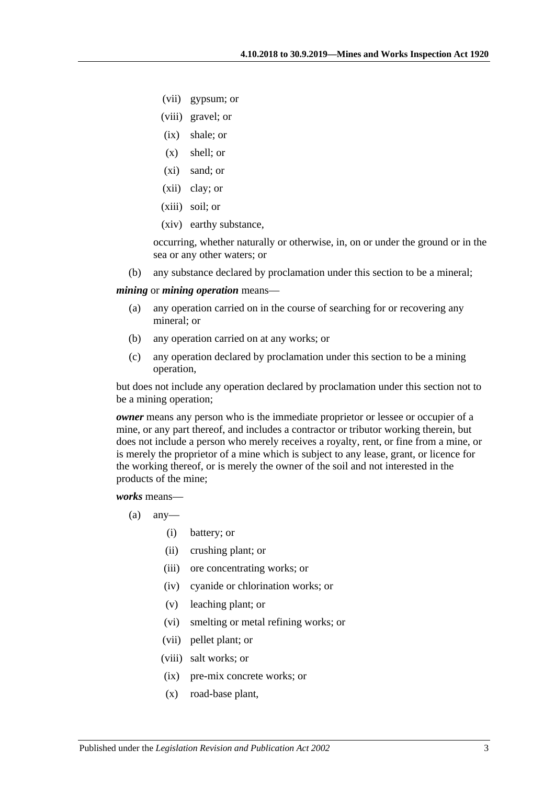- (vii) gypsum; or
- (viii) gravel; or
- (ix) shale; or
- (x) shell; or
- (xi) sand; or
- (xii) clay; or
- (xiii) soil; or
- (xiv) earthy substance,

occurring, whether naturally or otherwise, in, on or under the ground or in the sea or any other waters; or

(b) any substance declared by proclamation under this section to be a mineral;

#### <span id="page-2-0"></span>*mining* or *mining operation* means—

- (a) any operation carried on in the course of searching for or recovering any mineral; or
- (b) any operation carried on at any works; or
- (c) any operation declared by proclamation under this section to be a mining operation,

but does not include any operation declared by proclamation under this section not to be a mining operation;

*owner* means any person who is the immediate proprietor or lessee or occupier of a mine, or any part thereof, and includes a contractor or tributor working therein, but does not include a person who merely receives a royalty, rent, or fine from a mine, or is merely the proprietor of a mine which is subject to any lease, grant, or licence for the working thereof, or is merely the owner of the soil and not interested in the products of the mine;

*works* means—

- $(a)$  any-
	- (i) battery; or
	- (ii) crushing plant; or
	- (iii) ore concentrating works; or
	- (iv) cyanide or chlorination works; or
	- (v) leaching plant; or
	- (vi) smelting or metal refining works; or
	- (vii) pellet plant; or
	- (viii) salt works; or
	- (ix) pre-mix concrete works; or
	- (x) road-base plant,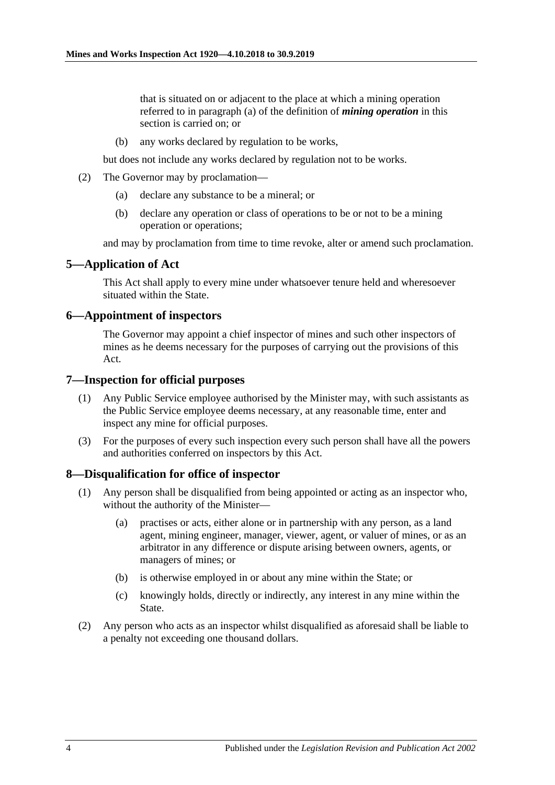that is situated on or adjacent to the place at which a mining operation referred to in [paragraph](#page-2-0) (a) of the definition of *mining operation* in this section is carried on; or

(b) any works declared by regulation to be works,

but does not include any works declared by regulation not to be works.

- (2) The Governor may by proclamation—
	- (a) declare any substance to be a mineral; or
	- (b) declare any operation or class of operations to be or not to be a mining operation or operations;

and may by proclamation from time to time revoke, alter or amend such proclamation.

#### <span id="page-3-0"></span>**5—Application of Act**

This Act shall apply to every mine under whatsoever tenure held and wheresoever situated within the State.

#### <span id="page-3-1"></span>**6—Appointment of inspectors**

The Governor may appoint a chief inspector of mines and such other inspectors of mines as he deems necessary for the purposes of carrying out the provisions of this Act.

#### <span id="page-3-2"></span>**7—Inspection for official purposes**

- (1) Any Public Service employee authorised by the Minister may, with such assistants as the Public Service employee deems necessary, at any reasonable time, enter and inspect any mine for official purposes.
- (3) For the purposes of every such inspection every such person shall have all the powers and authorities conferred on inspectors by this Act.

#### <span id="page-3-3"></span>**8—Disqualification for office of inspector**

- (1) Any person shall be disqualified from being appointed or acting as an inspector who, without the authority of the Minister—
	- (a) practises or acts, either alone or in partnership with any person, as a land agent, mining engineer, manager, viewer, agent, or valuer of mines, or as an arbitrator in any difference or dispute arising between owners, agents, or managers of mines; or
	- (b) is otherwise employed in or about any mine within the State; or
	- (c) knowingly holds, directly or indirectly, any interest in any mine within the State.
- (2) Any person who acts as an inspector whilst disqualified as aforesaid shall be liable to a penalty not exceeding one thousand dollars.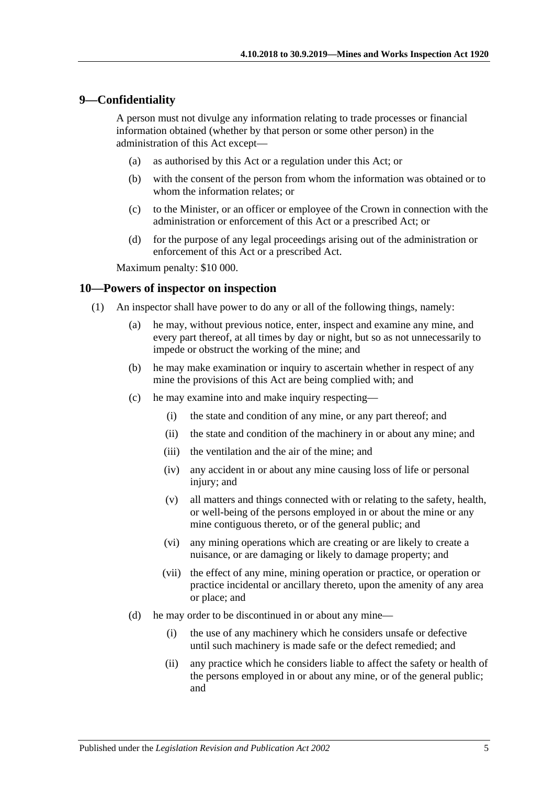#### <span id="page-4-0"></span>**9—Confidentiality**

A person must not divulge any information relating to trade processes or financial information obtained (whether by that person or some other person) in the administration of this Act except—

- (a) as authorised by this Act or a regulation under this Act; or
- (b) with the consent of the person from whom the information was obtained or to whom the information relates; or
- (c) to the Minister, or an officer or employee of the Crown in connection with the administration or enforcement of this Act or a prescribed Act; or
- (d) for the purpose of any legal proceedings arising out of the administration or enforcement of this Act or a prescribed Act.

Maximum penalty: \$10 000.

#### <span id="page-4-1"></span>**10—Powers of inspector on inspection**

- (1) An inspector shall have power to do any or all of the following things, namely:
	- (a) he may, without previous notice, enter, inspect and examine any mine, and every part thereof, at all times by day or night, but so as not unnecessarily to impede or obstruct the working of the mine; and
	- (b) he may make examination or inquiry to ascertain whether in respect of any mine the provisions of this Act are being complied with; and
	- (c) he may examine into and make inquiry respecting—
		- (i) the state and condition of any mine, or any part thereof; and
		- (ii) the state and condition of the machinery in or about any mine; and
		- (iii) the ventilation and the air of the mine; and
		- (iv) any accident in or about any mine causing loss of life or personal injury; and
		- (v) all matters and things connected with or relating to the safety, health, or well-being of the persons employed in or about the mine or any mine contiguous thereto, or of the general public; and
		- (vi) any mining operations which are creating or are likely to create a nuisance, or are damaging or likely to damage property; and
		- (vii) the effect of any mine, mining operation or practice, or operation or practice incidental or ancillary thereto, upon the amenity of any area or place; and
	- (d) he may order to be discontinued in or about any mine—
		- (i) the use of any machinery which he considers unsafe or defective until such machinery is made safe or the defect remedied; and
		- (ii) any practice which he considers liable to affect the safety or health of the persons employed in or about any mine, or of the general public; and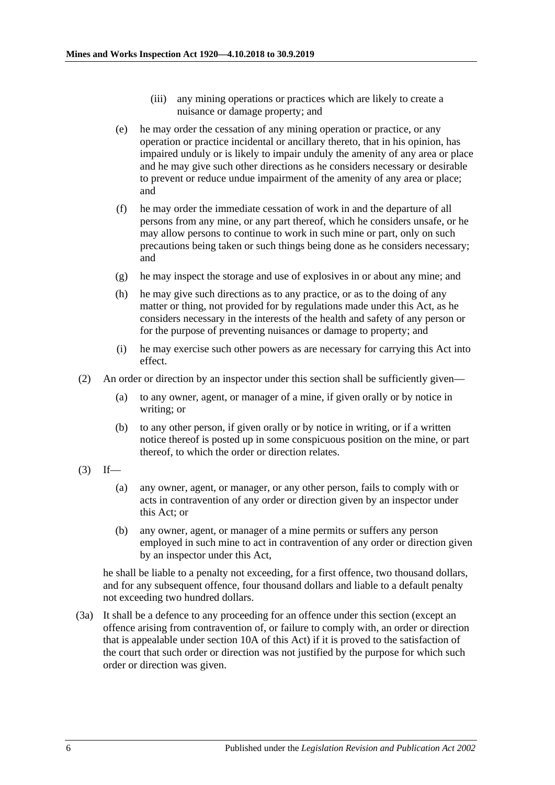- (iii) any mining operations or practices which are likely to create a nuisance or damage property; and
- <span id="page-5-1"></span>(e) he may order the cessation of any mining operation or practice, or any operation or practice incidental or ancillary thereto, that in his opinion, has impaired unduly or is likely to impair unduly the amenity of any area or place and he may give such other directions as he considers necessary or desirable to prevent or reduce undue impairment of the amenity of any area or place; and
- (f) he may order the immediate cessation of work in and the departure of all persons from any mine, or any part thereof, which he considers unsafe, or he may allow persons to continue to work in such mine or part, only on such precautions being taken or such things being done as he considers necessary; and
- (g) he may inspect the storage and use of explosives in or about any mine; and
- (h) he may give such directions as to any practice, or as to the doing of any matter or thing, not provided for by regulations made under this Act, as he considers necessary in the interests of the health and safety of any person or for the purpose of preventing nuisances or damage to property; and
- (i) he may exercise such other powers as are necessary for carrying this Act into effect.
- (2) An order or direction by an inspector under this section shall be sufficiently given—
	- (a) to any owner, agent, or manager of a mine, if given orally or by notice in writing; or
	- (b) to any other person, if given orally or by notice in writing, or if a written notice thereof is posted up in some conspicuous position on the mine, or part thereof, to which the order or direction relates.
- <span id="page-5-0"></span> $(3)$  If—
	- (a) any owner, agent, or manager, or any other person, fails to comply with or acts in contravention of any order or direction given by an inspector under this Act; or
	- (b) any owner, agent, or manager of a mine permits or suffers any person employed in such mine to act in contravention of any order or direction given by an inspector under this Act,

he shall be liable to a penalty not exceeding, for a first offence, two thousand dollars, and for any subsequent offence, four thousand dollars and liable to a default penalty not exceeding two hundred dollars.

(3a) It shall be a defence to any proceeding for an offence under this section (except an offence arising from contravention of, or failure to comply with, an order or direction that is appealable under section 10A of this Act) if it is proved to the satisfaction of the court that such order or direction was not justified by the purpose for which such order or direction was given.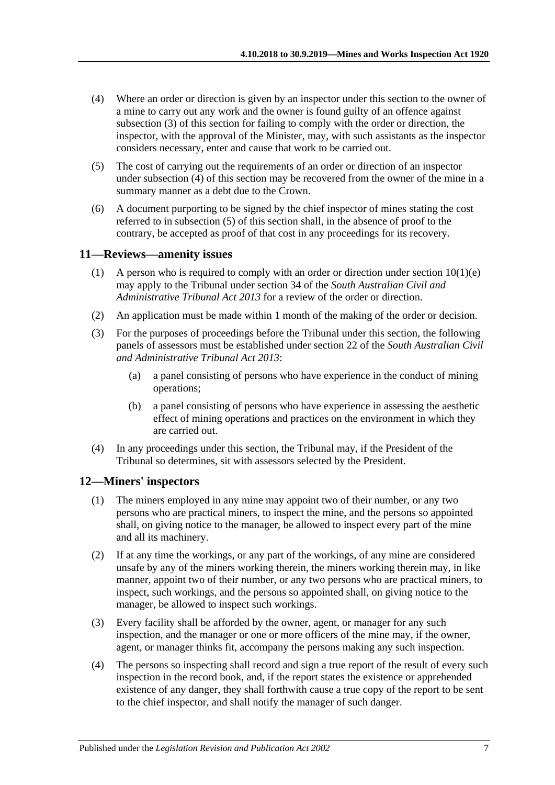- <span id="page-6-2"></span>(4) Where an order or direction is given by an inspector under this section to the owner of a mine to carry out any work and the owner is found guilty of an offence against [subsection](#page-5-0) (3) of this section for failing to comply with the order or direction, the inspector, with the approval of the Minister, may, with such assistants as the inspector considers necessary, enter and cause that work to be carried out.
- <span id="page-6-3"></span>(5) The cost of carrying out the requirements of an order or direction of an inspector under [subsection](#page-6-2) (4) of this section may be recovered from the owner of the mine in a summary manner as a debt due to the Crown.
- (6) A document purporting to be signed by the chief inspector of mines stating the cost referred to in [subsection](#page-6-3) (5) of this section shall, in the absence of proof to the contrary, be accepted as proof of that cost in any proceedings for its recovery.

#### <span id="page-6-0"></span>**11—Reviews—amenity issues**

- (1) A person who is required to comply with an order or direction under section  $10(1)(e)$ may apply to the Tribunal under section 34 of the *[South Australian Civil and](http://www.legislation.sa.gov.au/index.aspx?action=legref&type=act&legtitle=South%20Australian%20Civil%20and%20Administrative%20Tribunal%20Act%202013)  [Administrative Tribunal Act](http://www.legislation.sa.gov.au/index.aspx?action=legref&type=act&legtitle=South%20Australian%20Civil%20and%20Administrative%20Tribunal%20Act%202013) 2013* for a review of the order or direction.
- (2) An application must be made within 1 month of the making of the order or decision.
- (3) For the purposes of proceedings before the Tribunal under this section, the following panels of assessors must be established under section 22 of the *[South Australian Civil](http://www.legislation.sa.gov.au/index.aspx?action=legref&type=act&legtitle=South%20Australian%20Civil%20and%20Administrative%20Tribunal%20Act%202013)  [and Administrative Tribunal Act](http://www.legislation.sa.gov.au/index.aspx?action=legref&type=act&legtitle=South%20Australian%20Civil%20and%20Administrative%20Tribunal%20Act%202013) 2013*:
	- (a) a panel consisting of persons who have experience in the conduct of mining operations;
	- (b) a panel consisting of persons who have experience in assessing the aesthetic effect of mining operations and practices on the environment in which they are carried out.
- (4) In any proceedings under this section, the Tribunal may, if the President of the Tribunal so determines, sit with assessors selected by the President.

#### <span id="page-6-1"></span>**12—Miners' inspectors**

- (1) The miners employed in any mine may appoint two of their number, or any two persons who are practical miners, to inspect the mine, and the persons so appointed shall, on giving notice to the manager, be allowed to inspect every part of the mine and all its machinery.
- (2) If at any time the workings, or any part of the workings, of any mine are considered unsafe by any of the miners working therein, the miners working therein may, in like manner, appoint two of their number, or any two persons who are practical miners, to inspect, such workings, and the persons so appointed shall, on giving notice to the manager, be allowed to inspect such workings.
- (3) Every facility shall be afforded by the owner, agent, or manager for any such inspection, and the manager or one or more officers of the mine may, if the owner, agent, or manager thinks fit, accompany the persons making any such inspection.
- (4) The persons so inspecting shall record and sign a true report of the result of every such inspection in the record book, and, if the report states the existence or apprehended existence of any danger, they shall forthwith cause a true copy of the report to be sent to the chief inspector, and shall notify the manager of such danger.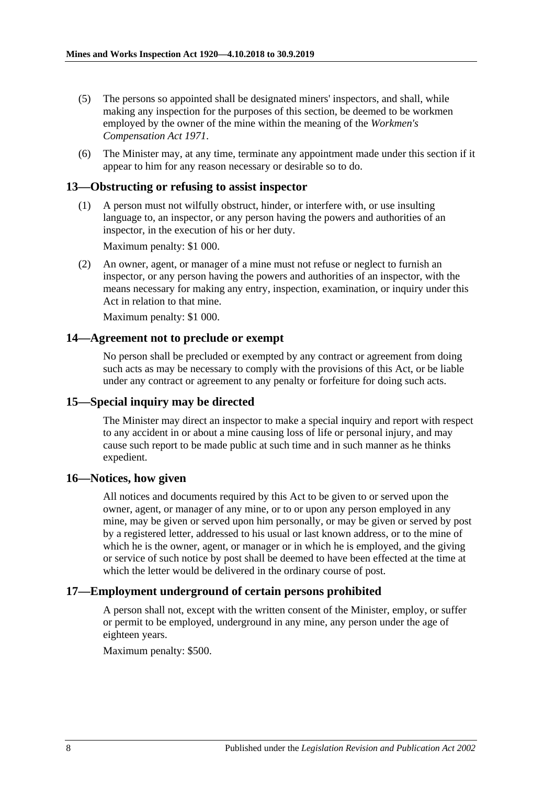- (5) The persons so appointed shall be designated miners' inspectors, and shall, while making any inspection for the purposes of this section, be deemed to be workmen employed by the owner of the mine within the meaning of the *[Workmen's](http://www.legislation.sa.gov.au/index.aspx?action=legref&type=act&legtitle=Workmens%20Compensation%20Act%201971)  [Compensation Act](http://www.legislation.sa.gov.au/index.aspx?action=legref&type=act&legtitle=Workmens%20Compensation%20Act%201971) 1971*.
- (6) The Minister may, at any time, terminate any appointment made under this section if it appear to him for any reason necessary or desirable so to do.

#### <span id="page-7-0"></span>**13—Obstructing or refusing to assist inspector**

(1) A person must not wilfully obstruct, hinder, or interfere with, or use insulting language to, an inspector, or any person having the powers and authorities of an inspector, in the execution of his or her duty.

Maximum penalty: \$1 000.

(2) An owner, agent, or manager of a mine must not refuse or neglect to furnish an inspector, or any person having the powers and authorities of an inspector, with the means necessary for making any entry, inspection, examination, or inquiry under this Act in relation to that mine.

Maximum penalty: \$1 000.

#### <span id="page-7-1"></span>**14—Agreement not to preclude or exempt**

No person shall be precluded or exempted by any contract or agreement from doing such acts as may be necessary to comply with the provisions of this Act, or be liable under any contract or agreement to any penalty or forfeiture for doing such acts.

#### <span id="page-7-2"></span>**15—Special inquiry may be directed**

The Minister may direct an inspector to make a special inquiry and report with respect to any accident in or about a mine causing loss of life or personal injury, and may cause such report to be made public at such time and in such manner as he thinks expedient.

#### <span id="page-7-3"></span>**16—Notices, how given**

All notices and documents required by this Act to be given to or served upon the owner, agent, or manager of any mine, or to or upon any person employed in any mine, may be given or served upon him personally, or may be given or served by post by a registered letter, addressed to his usual or last known address, or to the mine of which he is the owner, agent, or manager or in which he is employed, and the giving or service of such notice by post shall be deemed to have been effected at the time at which the letter would be delivered in the ordinary course of post.

#### <span id="page-7-4"></span>**17—Employment underground of certain persons prohibited**

A person shall not, except with the written consent of the Minister, employ, or suffer or permit to be employed, underground in any mine, any person under the age of eighteen years.

Maximum penalty: \$500.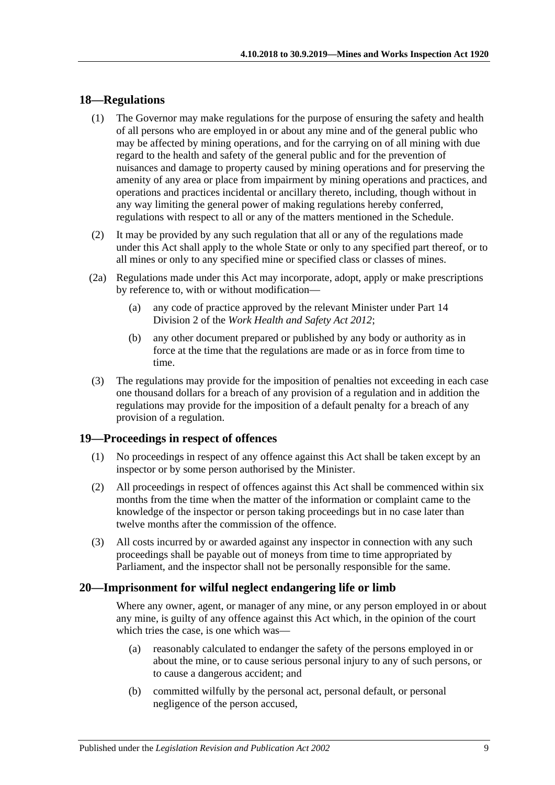#### <span id="page-8-0"></span>**18—Regulations**

- (1) The Governor may make regulations for the purpose of ensuring the safety and health of all persons who are employed in or about any mine and of the general public who may be affected by mining operations, and for the carrying on of all mining with due regard to the health and safety of the general public and for the prevention of nuisances and damage to property caused by mining operations and for preserving the amenity of any area or place from impairment by mining operations and practices, and operations and practices incidental or ancillary thereto, including, though without in any way limiting the general power of making regulations hereby conferred, regulations with respect to all or any of the matters mentioned in the [Schedule.](#page-10-2)
- (2) It may be provided by any such regulation that all or any of the regulations made under this Act shall apply to the whole State or only to any specified part thereof, or to all mines or only to any specified mine or specified class or classes of mines.
- (2a) Regulations made under this Act may incorporate, adopt, apply or make prescriptions by reference to, with or without modification—
	- (a) any code of practice approved by the relevant Minister under Part 14 Division 2 of the *[Work Health and Safety Act](http://www.legislation.sa.gov.au/index.aspx?action=legref&type=act&legtitle=Work%20Health%20and%20Safety%20Act%202012) 2012*;
	- (b) any other document prepared or published by any body or authority as in force at the time that the regulations are made or as in force from time to time.
- (3) The regulations may provide for the imposition of penalties not exceeding in each case one thousand dollars for a breach of any provision of a regulation and in addition the regulations may provide for the imposition of a default penalty for a breach of any provision of a regulation.

#### <span id="page-8-1"></span>**19—Proceedings in respect of offences**

- (1) No proceedings in respect of any offence against this Act shall be taken except by an inspector or by some person authorised by the Minister.
- (2) All proceedings in respect of offences against this Act shall be commenced within six months from the time when the matter of the information or complaint came to the knowledge of the inspector or person taking proceedings but in no case later than twelve months after the commission of the offence.
- (3) All costs incurred by or awarded against any inspector in connection with any such proceedings shall be payable out of moneys from time to time appropriated by Parliament, and the inspector shall not be personally responsible for the same.

#### <span id="page-8-2"></span>**20—Imprisonment for wilful neglect endangering life or limb**

Where any owner, agent, or manager of any mine, or any person employed in or about any mine, is guilty of any offence against this Act which, in the opinion of the court which tries the case, is one which was—

- (a) reasonably calculated to endanger the safety of the persons employed in or about the mine, or to cause serious personal injury to any of such persons, or to cause a dangerous accident; and
- (b) committed wilfully by the personal act, personal default, or personal negligence of the person accused,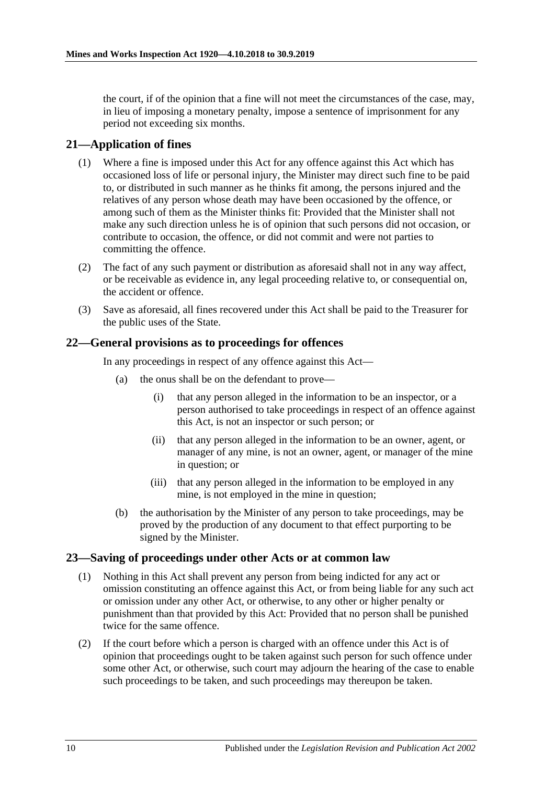the court, if of the opinion that a fine will not meet the circumstances of the case, may, in lieu of imposing a monetary penalty, impose a sentence of imprisonment for any period not exceeding six months.

### <span id="page-9-0"></span>**21—Application of fines**

- (1) Where a fine is imposed under this Act for any offence against this Act which has occasioned loss of life or personal injury, the Minister may direct such fine to be paid to, or distributed in such manner as he thinks fit among, the persons injured and the relatives of any person whose death may have been occasioned by the offence, or among such of them as the Minister thinks fit: Provided that the Minister shall not make any such direction unless he is of opinion that such persons did not occasion, or contribute to occasion, the offence, or did not commit and were not parties to committing the offence.
- (2) The fact of any such payment or distribution as aforesaid shall not in any way affect, or be receivable as evidence in, any legal proceeding relative to, or consequential on, the accident or offence.
- (3) Save as aforesaid, all fines recovered under this Act shall be paid to the Treasurer for the public uses of the State.

#### <span id="page-9-1"></span>**22—General provisions as to proceedings for offences**

In any proceedings in respect of any offence against this Act—

- (a) the onus shall be on the defendant to prove—
	- (i) that any person alleged in the information to be an inspector, or a person authorised to take proceedings in respect of an offence against this Act, is not an inspector or such person; or
	- (ii) that any person alleged in the information to be an owner, agent, or manager of any mine, is not an owner, agent, or manager of the mine in question; or
	- (iii) that any person alleged in the information to be employed in any mine, is not employed in the mine in question;
- (b) the authorisation by the Minister of any person to take proceedings, may be proved by the production of any document to that effect purporting to be signed by the Minister.

#### <span id="page-9-2"></span>**23—Saving of proceedings under other Acts or at common law**

- (1) Nothing in this Act shall prevent any person from being indicted for any act or omission constituting an offence against this Act, or from being liable for any such act or omission under any other Act, or otherwise, to any other or higher penalty or punishment than that provided by this Act: Provided that no person shall be punished twice for the same offence.
- (2) If the court before which a person is charged with an offence under this Act is of opinion that proceedings ought to be taken against such person for such offence under some other Act, or otherwise, such court may adjourn the hearing of the case to enable such proceedings to be taken, and such proceedings may thereupon be taken.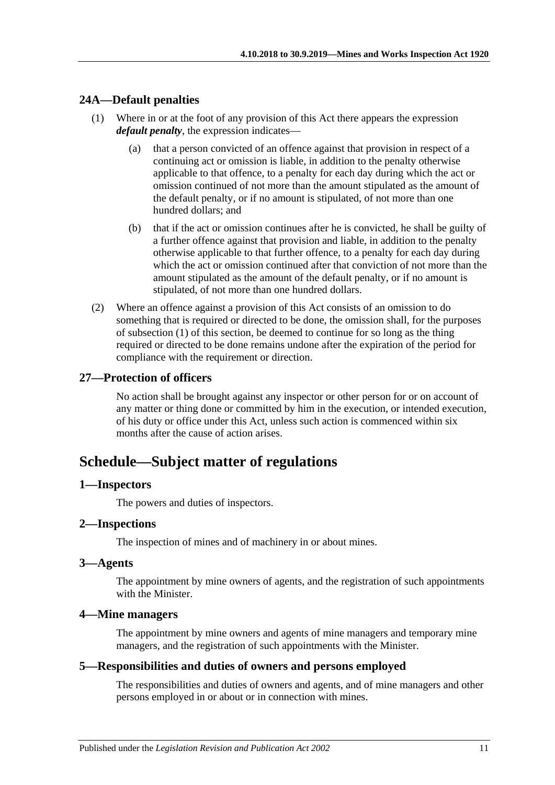### <span id="page-10-8"></span><span id="page-10-0"></span>**24A—Default penalties**

- (1) Where in or at the foot of any provision of this Act there appears the expression *default penalty*, the expression indicates—
	- (a) that a person convicted of an offence against that provision in respect of a continuing act or omission is liable, in addition to the penalty otherwise applicable to that offence, to a penalty for each day during which the act or omission continued of not more than the amount stipulated as the amount of the default penalty, or if no amount is stipulated, of not more than one hundred dollars; and
	- (b) that if the act or omission continues after he is convicted, he shall be guilty of a further offence against that provision and liable, in addition to the penalty otherwise applicable to that further offence, to a penalty for each day during which the act or omission continued after that conviction of not more than the amount stipulated as the amount of the default penalty, or if no amount is stipulated, of not more than one hundred dollars.
- (2) Where an offence against a provision of this Act consists of an omission to do something that is required or directed to be done, the omission shall, for the purposes of [subsection](#page-10-8) (1) of this section, be deemed to continue for so long as the thing required or directed to be done remains undone after the expiration of the period for compliance with the requirement or direction.

#### <span id="page-10-1"></span>**27—Protection of officers**

No action shall be brought against any inspector or other person for or on account of any matter or thing done or committed by him in the execution, or intended execution, of his duty or office under this Act, unless such action is commenced within six months after the cause of action arises.

# <span id="page-10-2"></span>**Schedule—Subject matter of regulations**

#### <span id="page-10-3"></span>**1—Inspectors**

The powers and duties of inspectors.

#### <span id="page-10-4"></span>**2—Inspections**

The inspection of mines and of machinery in or about mines.

#### <span id="page-10-5"></span>**3—Agents**

The appointment by mine owners of agents, and the registration of such appointments with the Minister.

#### <span id="page-10-6"></span>**4—Mine managers**

The appointment by mine owners and agents of mine managers and temporary mine managers, and the registration of such appointments with the Minister.

#### <span id="page-10-7"></span>**5—Responsibilities and duties of owners and persons employed**

The responsibilities and duties of owners and agents, and of mine managers and other persons employed in or about or in connection with mines.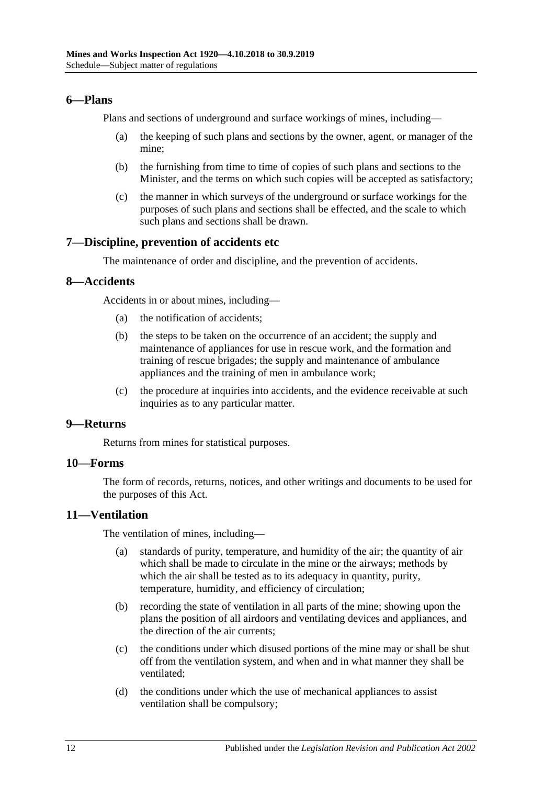### <span id="page-11-0"></span>**6—Plans**

Plans and sections of underground and surface workings of mines, including—

- (a) the keeping of such plans and sections by the owner, agent, or manager of the mine;
- (b) the furnishing from time to time of copies of such plans and sections to the Minister, and the terms on which such copies will be accepted as satisfactory;
- (c) the manner in which surveys of the underground or surface workings for the purposes of such plans and sections shall be effected, and the scale to which such plans and sections shall be drawn.

#### <span id="page-11-1"></span>**7—Discipline, prevention of accidents etc**

The maintenance of order and discipline, and the prevention of accidents.

#### <span id="page-11-2"></span>**8—Accidents**

Accidents in or about mines, including—

- (a) the notification of accidents;
- (b) the steps to be taken on the occurrence of an accident; the supply and maintenance of appliances for use in rescue work, and the formation and training of rescue brigades; the supply and maintenance of ambulance appliances and the training of men in ambulance work;
- (c) the procedure at inquiries into accidents, and the evidence receivable at such inquiries as to any particular matter.

### <span id="page-11-3"></span>**9—Returns**

Returns from mines for statistical purposes.

## <span id="page-11-4"></span>**10—Forms**

The form of records, returns, notices, and other writings and documents to be used for the purposes of this Act.

#### <span id="page-11-5"></span>**11—Ventilation**

The ventilation of mines, including—

- (a) standards of purity, temperature, and humidity of the air; the quantity of air which shall be made to circulate in the mine or the airways; methods by which the air shall be tested as to its adequacy in quantity, purity, temperature, humidity, and efficiency of circulation;
- (b) recording the state of ventilation in all parts of the mine; showing upon the plans the position of all airdoors and ventilating devices and appliances, and the direction of the air currents;
- (c) the conditions under which disused portions of the mine may or shall be shut off from the ventilation system, and when and in what manner they shall be ventilated;
- (d) the conditions under which the use of mechanical appliances to assist ventilation shall be compulsory;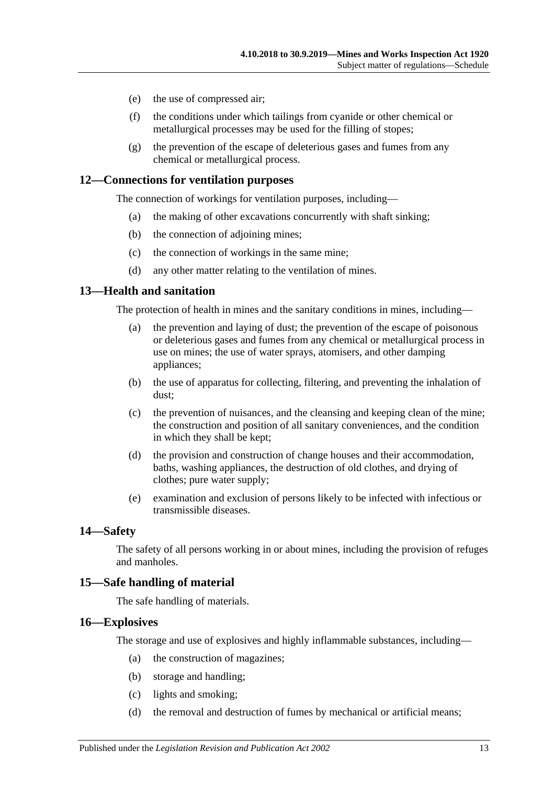- (e) the use of compressed air;
- (f) the conditions under which tailings from cyanide or other chemical or metallurgical processes may be used for the filling of stopes;
- (g) the prevention of the escape of deleterious gases and fumes from any chemical or metallurgical process.

#### <span id="page-12-0"></span>**12—Connections for ventilation purposes**

The connection of workings for ventilation purposes, including—

- (a) the making of other excavations concurrently with shaft sinking;
- (b) the connection of adjoining mines;
- (c) the connection of workings in the same mine;
- (d) any other matter relating to the ventilation of mines.

#### <span id="page-12-1"></span>**13—Health and sanitation**

The protection of health in mines and the sanitary conditions in mines, including—

- (a) the prevention and laying of dust; the prevention of the escape of poisonous or deleterious gases and fumes from any chemical or metallurgical process in use on mines; the use of water sprays, atomisers, and other damping appliances;
- (b) the use of apparatus for collecting, filtering, and preventing the inhalation of dust;
- (c) the prevention of nuisances, and the cleansing and keeping clean of the mine; the construction and position of all sanitary conveniences, and the condition in which they shall be kept;
- (d) the provision and construction of change houses and their accommodation, baths, washing appliances, the destruction of old clothes, and drying of clothes; pure water supply;
- (e) examination and exclusion of persons likely to be infected with infectious or transmissible diseases.

#### <span id="page-12-2"></span>**14—Safety**

The safety of all persons working in or about mines, including the provision of refuges and manholes.

#### <span id="page-12-3"></span>**15—Safe handling of material**

The safe handling of materials.

#### <span id="page-12-4"></span>**16—Explosives**

The storage and use of explosives and highly inflammable substances, including—

- (a) the construction of magazines;
- (b) storage and handling;
- (c) lights and smoking;
- (d) the removal and destruction of fumes by mechanical or artificial means;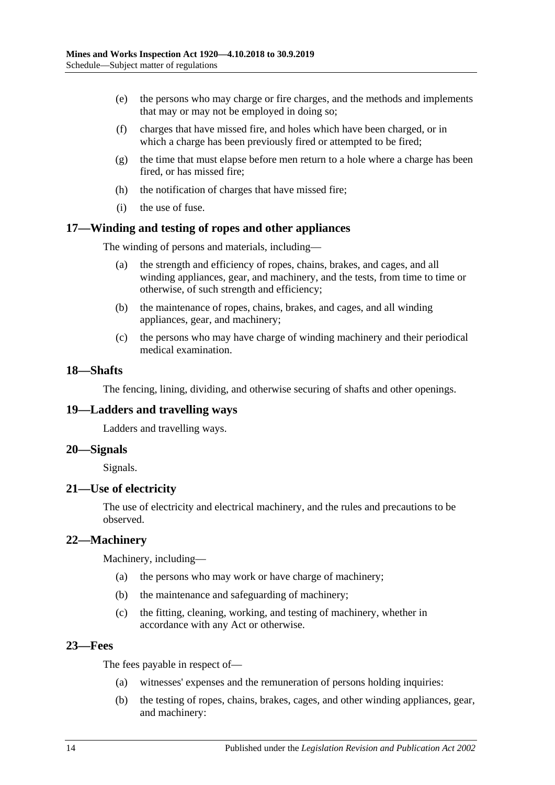- (e) the persons who may charge or fire charges, and the methods and implements that may or may not be employed in doing so;
- (f) charges that have missed fire, and holes which have been charged, or in which a charge has been previously fired or attempted to be fired;
- (g) the time that must elapse before men return to a hole where a charge has been fired, or has missed fire;
- (h) the notification of charges that have missed fire;
- (i) the use of fuse.

#### <span id="page-13-0"></span>**17—Winding and testing of ropes and other appliances**

The winding of persons and materials, including—

- (a) the strength and efficiency of ropes, chains, brakes, and cages, and all winding appliances, gear, and machinery, and the tests, from time to time or otherwise, of such strength and efficiency;
- (b) the maintenance of ropes, chains, brakes, and cages, and all winding appliances, gear, and machinery;
- (c) the persons who may have charge of winding machinery and their periodical medical examination.

#### <span id="page-13-1"></span>**18—Shafts**

The fencing, lining, dividing, and otherwise securing of shafts and other openings.

#### <span id="page-13-2"></span>**19—Ladders and travelling ways**

Ladders and travelling ways.

#### <span id="page-13-3"></span>**20—Signals**

Signals.

#### <span id="page-13-4"></span>**21—Use of electricity**

The use of electricity and electrical machinery, and the rules and precautions to be observed.

#### <span id="page-13-5"></span>**22—Machinery**

Machinery, including—

- (a) the persons who may work or have charge of machinery;
- (b) the maintenance and safeguarding of machinery;
- (c) the fitting, cleaning, working, and testing of machinery, whether in accordance with any Act or otherwise.

#### <span id="page-13-6"></span>**23—Fees**

The fees payable in respect of—

- (a) witnesses' expenses and the remuneration of persons holding inquiries:
- (b) the testing of ropes, chains, brakes, cages, and other winding appliances, gear, and machinery: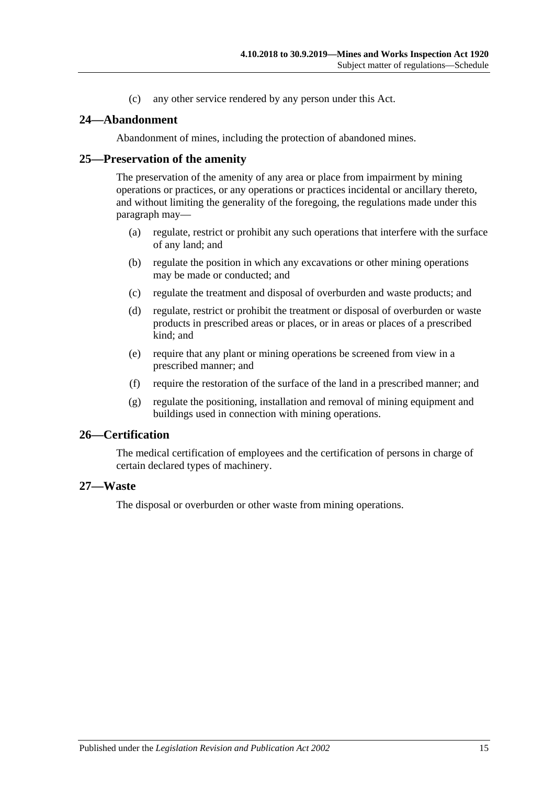(c) any other service rendered by any person under this Act.

#### <span id="page-14-0"></span>**24—Abandonment**

Abandonment of mines, including the protection of abandoned mines.

#### <span id="page-14-1"></span>**25—Preservation of the amenity**

The preservation of the amenity of any area or place from impairment by mining operations or practices, or any operations or practices incidental or ancillary thereto, and without limiting the generality of the foregoing, the regulations made under this paragraph may—

- (a) regulate, restrict or prohibit any such operations that interfere with the surface of any land; and
- (b) regulate the position in which any excavations or other mining operations may be made or conducted; and
- (c) regulate the treatment and disposal of overburden and waste products; and
- (d) regulate, restrict or prohibit the treatment or disposal of overburden or waste products in prescribed areas or places, or in areas or places of a prescribed kind; and
- (e) require that any plant or mining operations be screened from view in a prescribed manner; and
- (f) require the restoration of the surface of the land in a prescribed manner; and
- (g) regulate the positioning, installation and removal of mining equipment and buildings used in connection with mining operations.

#### <span id="page-14-2"></span>**26—Certification**

The medical certification of employees and the certification of persons in charge of certain declared types of machinery.

#### <span id="page-14-3"></span>**27—Waste**

The disposal or overburden or other waste from mining operations.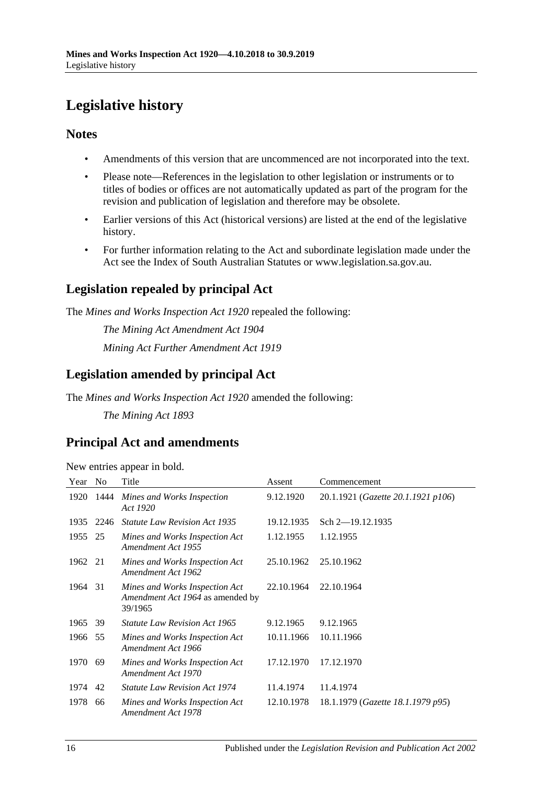# <span id="page-15-0"></span>**Legislative history**

### **Notes**

- Amendments of this version that are uncommenced are not incorporated into the text.
- Please note—References in the legislation to other legislation or instruments or to titles of bodies or offices are not automatically updated as part of the program for the revision and publication of legislation and therefore may be obsolete.
- Earlier versions of this Act (historical versions) are listed at the end of the legislative history.
- For further information relating to the Act and subordinate legislation made under the Act see the Index of South Australian Statutes or www.legislation.sa.gov.au.

# **Legislation repealed by principal Act**

The *Mines and Works Inspection Act 1920* repealed the following:

*The Mining Act Amendment Act 1904 Mining Act Further Amendment Act 1919*

# **Legislation amended by principal Act**

The *Mines and Works Inspection Act 1920* amended the following:

*The Mining Act 1893*

# **Principal Act and amendments**

New entries appear in bold.

| Year | N <sub>0</sub> | Title                                                                         | Assent     | Commencement                       |
|------|----------------|-------------------------------------------------------------------------------|------------|------------------------------------|
| 1920 | 1444           | Mines and Works Inspection<br>Act 1920                                        | 9.12.1920  | 20.1.1921 (Gazette 20.1.1921 p106) |
| 1935 | 2246           | <b>Statute Law Revision Act 1935</b>                                          | 19.12.1935 | Sch $2$ -19.12.1935                |
| 1955 | 25             | Mines and Works Inspection Act<br>Amendment Act 1955                          | 1.12.1955  | 1.12.1955                          |
| 1962 | 21             | Mines and Works Inspection Act<br>Amendment Act 1962                          | 25.10.1962 | 25.10.1962                         |
| 1964 | 31             | Mines and Works Inspection Act<br>Amendment Act 1964 as amended by<br>39/1965 | 22.10.1964 | 22.10.1964                         |
| 1965 | 39             | <i>Statute Law Revision Act 1965</i>                                          | 9.12.1965  | 9.12.1965                          |
| 1966 | 55             | Mines and Works Inspection Act<br>Amendment Act 1966                          | 10.11.1966 | 10.11.1966                         |
| 1970 | 69             | Mines and Works Inspection Act<br>Amendment Act 1970                          | 17.12.1970 | 17.12.1970                         |
| 1974 | 42             | <i>Statute Law Revision Act 1974</i>                                          | 11.4.1974  | 11.4.1974                          |
| 1978 | 66             | Mines and Works Inspection Act<br>Amendment Act 1978                          | 12.10.1978 | 18.1.1979 (Gazette 18.1.1979 p95)  |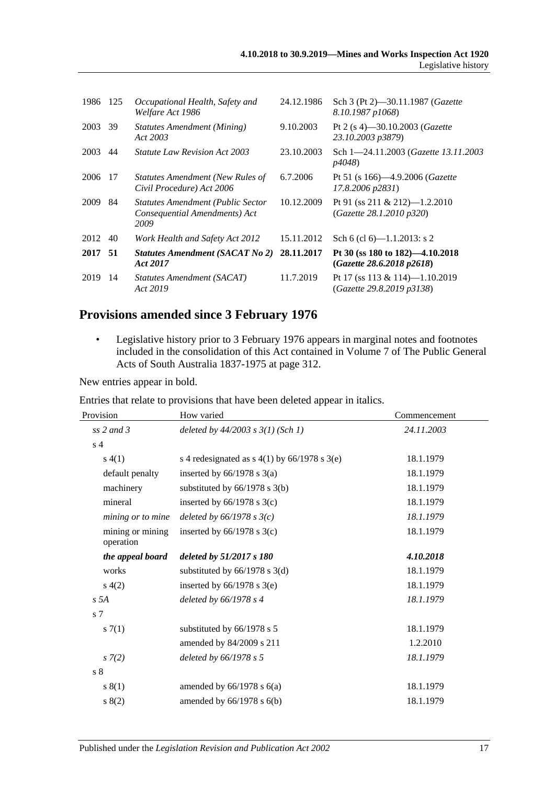| 1986 | 125 | Occupational Health, Safety and<br>Welfare Act 1986                               | 24.12.1986 | Sch 3 (Pt 2)-30.11.1987 (Gazette<br>8.10.1987 p1068)                  |
|------|-----|-----------------------------------------------------------------------------------|------------|-----------------------------------------------------------------------|
| 2003 | 39  | Statutes Amendment (Mining)<br>Act 2003                                           | 9.10.2003  | Pt 2 (s 4)–30.10.2003 ( <i>Gazette</i><br>23.10.2003 p3879)           |
| 2003 | 44  | <i>Statute Law Revision Act 2003</i>                                              | 23.10.2003 | Sch 1-24.11.2003 (Gazette 13.11.2003)<br><i>p4048</i> )               |
| 2006 | 17  | <b>Statutes Amendment (New Rules of</b><br>Civil Procedure) Act 2006              | 6.7.2006   | Pt 51 (s $166$ )—4.9.2006 ( <i>Gazette</i> )<br>$17.8.2006$ $p2831$ ) |
| 2009 | 84  | <b>Statutes Amendment (Public Sector</b><br>Consequential Amendments) Act<br>2009 | 10.12.2009 | Pt 91 (ss 211 & 212)-1.2.2010<br>(Gazette 28.1.2010 p320)             |
| 2012 | 40  | Work Health and Safety Act 2012                                                   | 15.11.2012 | Sch 6 (cl 6)— $1.1.2013$ : s 2                                        |
| 2017 | 51  | <b>Statutes Amendment (SACAT No 2)</b><br>Act 2017                                | 28.11.2017 | Pt 30 (ss 180 to 182)—4.10.2018<br>(Gazette 28.6.2018 p2618)          |
| 2019 | 14  | Statutes Amendment (SACAT)<br>Act 2019                                            | 11.7.2019  | Pt 17 (ss $113 \& 114$ )-1.10.2019<br>(Gazette 29.8.2019 p3138)       |

# **Provisions amended since 3 February 1976**

• Legislative history prior to 3 February 1976 appears in marginal notes and footnotes included in the consolidation of this Act contained in Volume 7 of The Public General Acts of South Australia 1837-1975 at page 312.

New entries appear in bold.

Entries that relate to provisions that have been deleted appear in italics.

| Provision                     | How varied                                     | Commencement |  |
|-------------------------------|------------------------------------------------|--------------|--|
| $ss$ 2 and 3                  | deleted by $44/2003$ s $3(1)$ (Sch 1)          | 24.11.2003   |  |
| s <sub>4</sub>                |                                                |              |  |
| s(4(1))                       | s 4 redesignated as $s$ 4(1) by 66/1978 s 3(e) | 18.1.1979    |  |
| default penalty               | inserted by $66/1978$ s $3(a)$                 | 18.1.1979    |  |
| machinery                     | substituted by $66/1978$ s 3(b)                | 18.1.1979    |  |
| mineral                       | inserted by $66/1978$ s $3(c)$                 | 18.1.1979    |  |
| mining or to mine             | deleted by $66/1978$ s $3(c)$                  | 18.1.1979    |  |
| mining or mining<br>operation | inserted by $66/1978$ s $3(c)$                 | 18.1.1979    |  |
| the appeal board              | deleted by 51/2017 s 180                       | 4.10.2018    |  |
| works                         | substituted by $66/1978$ s 3(d)                | 18.1.1979    |  |
| s(4(2)                        | inserted by $66/1978$ s $3(e)$                 | 18.1.1979    |  |
| s 5A                          | deleted by $66/1978$ s 4                       | 18.1.1979    |  |
| s <sub>7</sub>                |                                                |              |  |
| s(7(1))                       | substituted by 66/1978 s 5                     | 18.1.1979    |  |
|                               | amended by 84/2009 s 211                       | 1.2.2010     |  |
| $s \, 7(2)$                   | deleted by 66/1978 s 5                         | 18.1.1979    |  |
| $\sqrt{s}$ 8                  |                                                |              |  |
| s(1)                          | amended by $66/1978$ s $6(a)$                  | 18.1.1979    |  |
| s(2)                          | amended by $66/1978$ s $6(b)$                  | 18.1.1979    |  |
|                               |                                                |              |  |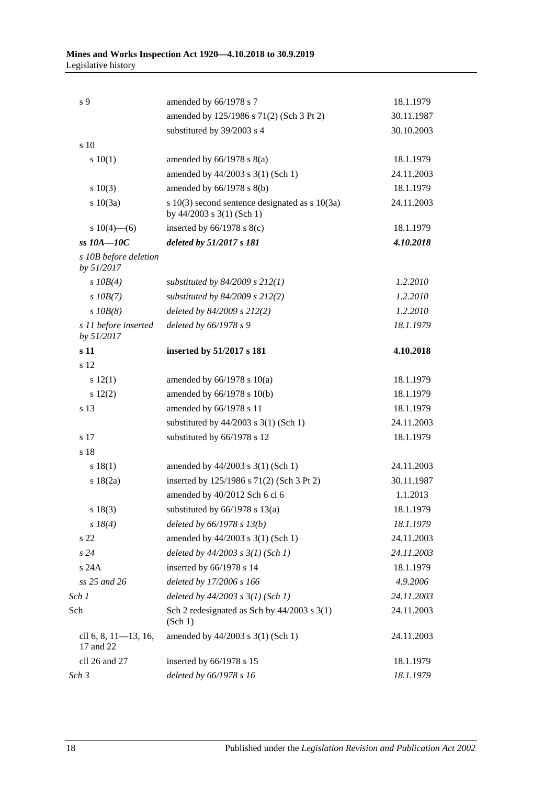| s 9                                  | amended by 66/1978 s 7                                                          | 18.1.1979  |
|--------------------------------------|---------------------------------------------------------------------------------|------------|
|                                      | amended by 125/1986 s 71(2) (Sch 3 Pt 2)                                        | 30.11.1987 |
|                                      | substituted by 39/2003 s 4                                                      | 30.10.2003 |
| s 10                                 |                                                                                 |            |
| 10(1)                                | amended by $66/1978$ s $8(a)$                                                   | 18.1.1979  |
|                                      | amended by 44/2003 s 3(1) (Sch 1)                                               | 24.11.2003 |
| 10(3)                                | amended by $66/1978$ s $8(b)$                                                   | 18.1.1979  |
| s 10(3a)                             | s $10(3)$ second sentence designated as s $10(3a)$<br>by 44/2003 s 3(1) (Sch 1) | 24.11.2003 |
| s $10(4)$ —(6)                       | inserted by $66/1978$ s $8(c)$                                                  | 18.1.1979  |
| $ss10A-10C$                          | deleted by 51/2017 s 181                                                        | 4.10.2018  |
| s 10B before deletion<br>by 51/2017  |                                                                                 |            |
| $s$ $10B(4)$                         | substituted by $84/2009$ s $212(1)$                                             | 1.2.2010   |
| $s$ 10B(7)                           | substituted by $84/2009$ s $212(2)$                                             | 1.2.2010   |
| $s$ $10B(8)$                         | deleted by 84/2009 s 212(2)                                                     | 1.2.2010   |
| s 11 before inserted<br>by 51/2017   | deleted by 66/1978 s 9                                                          | 18.1.1979  |
| s 11                                 | inserted by 51/2017 s 181                                                       | 4.10.2018  |
| s 12                                 |                                                                                 |            |
| s 12(1)                              | amended by $66/1978$ s $10(a)$                                                  | 18.1.1979  |
| 12(2)                                | amended by 66/1978 s 10(b)                                                      | 18.1.1979  |
| s 13                                 | amended by 66/1978 s 11                                                         | 18.1.1979  |
|                                      | substituted by $44/2003$ s 3(1) (Sch 1)                                         | 24.11.2003 |
| s 17                                 | substituted by 66/1978 s 12                                                     | 18.1.1979  |
| s 18                                 |                                                                                 |            |
| s 18(1)                              | amended by 44/2003 s 3(1) (Sch 1)                                               | 24.11.2003 |
| s 18(2a)                             | inserted by 125/1986 s 71(2) (Sch 3 Pt 2)                                       | 30.11.1987 |
|                                      | amended by 40/2012 Sch 6 cl 6                                                   | 1.1.2013   |
| $s\ 18(3)$                           | substituted by $66/1978$ s $13(a)$                                              | 18.1.1979  |
| $s \, 18(4)$                         | deleted by $66/1978$ s $13(b)$                                                  | 18.1.1979  |
| s 22                                 | amended by 44/2003 s 3(1) (Sch 1)                                               | 24.11.2003 |
| s24                                  | deleted by $44/2003$ s $3(1)$ (Sch 1)                                           | 24.11.2003 |
| s 24A                                | inserted by 66/1978 s 14                                                        | 18.1.1979  |
| ss 25 and 26                         | deleted by 17/2006 s 166                                                        | 4.9.2006   |
| Sch 1                                | deleted by $44/2003$ s $3(1)$ (Sch 1)                                           | 24.11.2003 |
| Sch                                  | Sch 2 redesignated as Sch by $44/2003$ s 3(1)<br>(Sch 1)                        | 24.11.2003 |
| cll 6, 8, $11-13$ , 16,<br>17 and 22 | amended by 44/2003 s 3(1) (Sch 1)                                               | 24.11.2003 |
| cll 26 and 27                        | inserted by 66/1978 s 15                                                        | 18.1.1979  |
| Sch 3                                | deleted by 66/1978 s 16                                                         | 18.1.1979  |